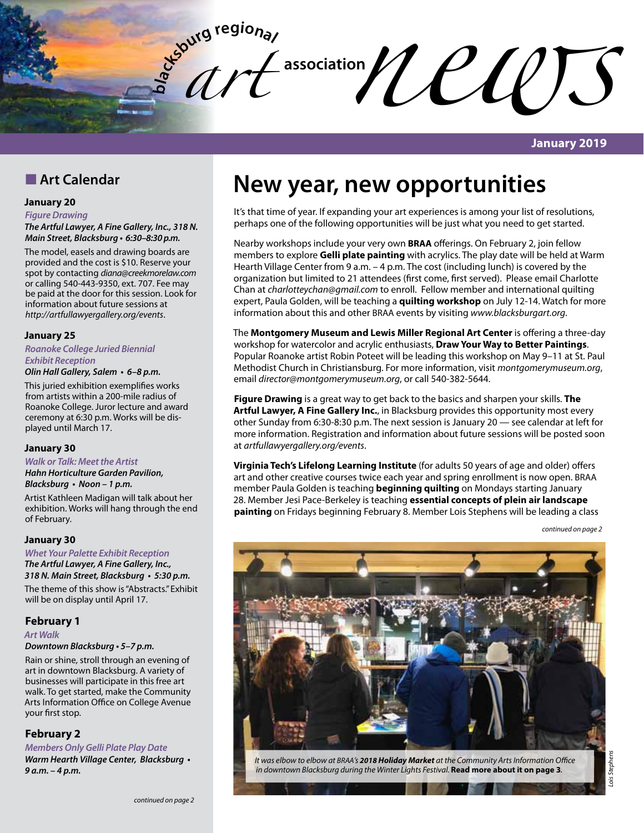

### **January 2019**

# **n** Art Calendar

### **January 20**

*Figure Drawing*

*The Artful Lawyer, A Fine Gallery, Inc., 318 N. Main Street, Blacksburg* **• 6:30–8:30 p.m.**

The model, easels and drawing boards are provided and the cost is \$10. Reserve your spot by contacting *diana@creekmorelaw.com* or calling 540-443-9350, ext. 707. Fee may be paid at the door for this session. Look for information about future sessions at *http://artfullawyergallery.org/events*.

### **January 25**

*Roanoke College Juried Biennial*  **Exhibit Reception**

## **Olin Hall Gallery, Salem • 6–8 p.m.**

This juried exhibition exemplifies works from artists within a 200-mile radius of Roanoke College. Juror lecture and award ceremony at 6:30 p.m. Works will be displayed until March 17.

### **January 30**

**Walk or Talk: Meet the Artist** *Hahn Horticulture Garden Pavilion,*  **Blacksburg • Noon – 1 p.m.**

Artist Kathleen Madigan will talk about her exhibition. Works will hang through the end of February.

### **January 30**

**Whet Your Palette Exhibit Reception** *The Artful Lawyer, A Fine Gallery, Inc.,*  **318 N. Main Street, Blacksburg • 5:30 p.m.**

The theme of this show is "Abstracts." Exhibit will be on display until April 17.

### **February 1**

*Art Walk*

### **Downtown Blacksburg • 5–7 p.m.**

Rain or shine, stroll through an evening of art in downtown Blacksburg. A variety of businesses will participate in this free art walk. To get started, make the Community Arts Information Office on College Avenue your first stop.

### **February 2**

**Members Only Gelli Plate Play Date**

**Warm Hearth Village Center, Blacksburg • 9 a.m. – 4 p.m.**

# **New year, new opportunities**

It's that time of year. If expanding your art experiences is among your list of resolutions, perhaps one of the following opportunities will be just what you need to get started.

Nearby workshops include your very own **BRAA** offerings. On February 2, join fellow members to explore **Gelli plate painting** with acrylics. The play date will be held at Warm Hearth Village Center from 9 a.m. – 4 p.m. The cost (including lunch) is covered by the organization but limited to 21 attendees (first come, first served). Please email Charlotte Chan at *charlotteychan@gmail.com* to enroll. Fellow member and international quilting expert, Paula Golden, will be teaching a **quilting workshop** on July 12-14. Watch for more information about this and other BRAA events by visiting *www.blacksburgart.org*.

The **Montgomery Museum and Lewis Miller Regional Art Center** is offering a three-day workshop for watercolor and acrylic enthusiasts, **Draw Your Way to Better Paintings**. Popular Roanoke artist Robin Poteet will be leading this workshop on May 9–11 at St. Paul Methodist Church in Christiansburg. For more information, visit *montgomerymuseum.org*, email *director@montgomerymuseum.org*, or call 540-382-5644.

**Figure Drawing** is a great way to get back to the basics and sharpen your skills. **The Artful Lawyer, A Fine Gallery Inc.**, in Blacksburg provides this opportunity most every other Sunday from 6:30-8:30 p.m. The next session is January 20 — see calendar at left for more information. Registration and information about future sessions will be posted soon at *artfullawyergallery.org/events*.

**Virginia Tech's Lifelong Learning Institute** (for adults 50 years of age and older) offers art and other creative courses twice each year and spring enrollment is now open. BRAA member Paula Golden is teaching **beginning quilting** on Mondays starting January 28. Member Jesi Pace-Berkeley is teaching **essential concepts of plein air landscape painting** on Fridays beginning February 8. Member Lois Stephens will be leading a class

*continued on page 2*



*It was elbow to elbow at BRAA's 2018 Holiday Market at the Community Arts Information Office in downtown Blacksburg during the Winter Lights Festival.* **Read more about it on page 3***.*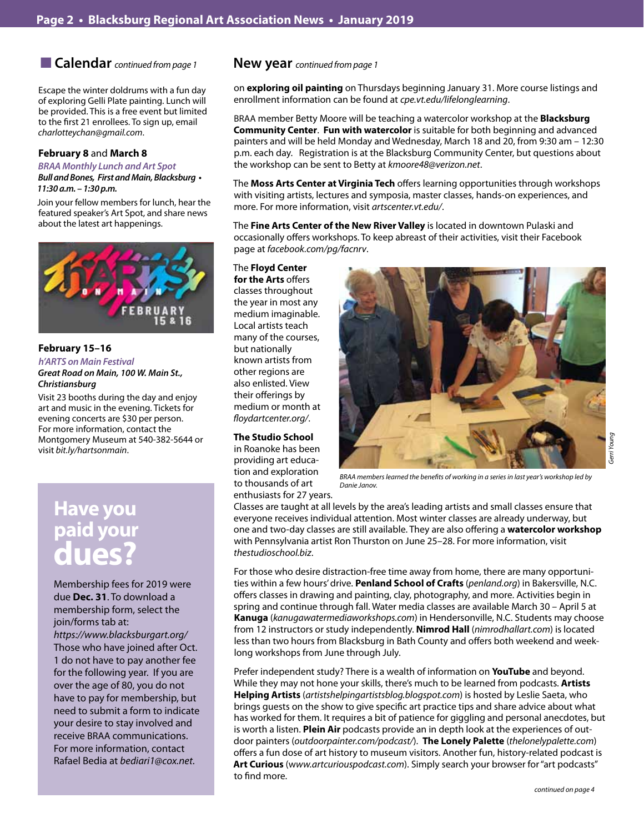■ Calendar *continued from page 1* 

Escape the winter doldrums with a fun day of exploring Gelli Plate painting. Lunch will be provided. This is a free event but limited to the first 21 enrollees. To sign up, email *charlotteychan@gmail.com*.

### **February 8** and **March 8**

**BRAA Monthly Lunch and Art Spot**

**Bull and Bones, First and Main, Blacksburg • 11:30 a.m. – 1:30 p.m.**

Join your fellow members for lunch, hear the featured speaker's Art Spot, and share news about the latest art happenings.



### **February 15–16**

*h'ARTS on Main Festival* **Great Road on Main, 100 W. Main St.,**  *Christiansburg* 

Visit 23 booths during the day and enjoy art and music in the evening. Tickets for evening concerts are \$30 per person. For more information, contact the Montgomery Museum at 540-382-5644 or visit *bit.ly/hartsonmain*.

# **Have you paid your dues?**

Membership fees for 2019 were due **Dec. 31**. To download a membership form, select the join/forms tab at: *https://www.blacksburgart.org/* Those who have joined after Oct. 1 do not have to pay another fee for the following year. If you are over the age of 80, you do not have to pay for membership, but need to submit a form to indicate your desire to stay involved and receive BRAA communications. For more information, contact Rafael Bedia at *bediari1@cox.net*.

### **New year** *continued from page 1*

on **exploring oil painting** on Thursdays beginning January 31. More course listings and enrollment information can be found at *cpe.vt.edu/lifelonglearning*.

BRAA member Betty Moore will be teaching a watercolor workshop at the **Blacksburg Community Center**. **Fun with watercolor** is suitable for both beginning and advanced painters and will be held Monday and Wednesday, March 18 and 20, from 9:30 am – 12:30 p.m. each day. Registration is at the Blacksburg Community Center, but questions about the workshop can be sent to Betty at *kmoore48@verizon.net*.

The **Moss Arts Center at Virginia Tech** offers learning opportunities through workshops with visiting artists, lectures and symposia, master classes, hands-on experiences, and more. For more information, visit *artscenter.vt.edu/*.

The **Fine Arts Center of the New River Valley** is located in downtown Pulaski and occasionally offers workshops. To keep abreast of their activities, visit their Facebook page at *facebook.com/pg/facnrv*.

The **Floyd Center for the Arts** offers classes throughout the year in most any medium imaginable. Local artists teach many of the courses, but nationally known artists from other regions are also enlisted. View their offerings by medium or month at *floydartcenter.org/*.

#### **The Studio School**

in Roanoke has been providing art education and exploration to thousands of art enthusiasts for 27 years.



*BRAA members learned the benefits of working in a series in last year's workshop led by Danie Janov.*

Classes are taught at all levels by the area's leading artists and small classes ensure that everyone receives individual attention. Most winter classes are already underway, but one and two-day classes are still available. They are also offering a **watercolor workshop** with Pennsylvania artist Ron Thurston on June 25–28. For more information, visit *thestudioschool.biz*.

For those who desire distraction-free time away from home, there are many opportunities within a few hours' drive. **Penland School of Crafts** (*penland.org*) in Bakersville, N.C. offers classes in drawing and painting, clay, photography, and more. Activities begin in spring and continue through fall. Water media classes are available March 30 – April 5 at **Kanuga** (*kanugawatermediaworkshops.com*) in Hendersonville, N.C. Students may choose from 12 instructors or study independently. **Nimrod Hall** (*nimrodhallart.com*) is located less than two hours from Blacksburg in Bath County and offers both weekend and weeklong workshops from June through July.

Prefer independent study? There is a wealth of information on **YouTube** and beyond. While they may not hone your skills, there's much to be learned from podcasts. **Artists Helping Artists** (*artistshelpingartistsblog.blogspot.com*) is hosted by Leslie Saeta, who brings guests on the show to give specific art practice tips and share advice about what has worked for them. It requires a bit of patience for giggling and personal anecdotes, but is worth a listen. **Plein Air** podcasts provide an in depth look at the experiences of outdoor painters (*outdoorpainter.com/podcast/*). **The Lonely Palette** (*thelonelypalette.com*) offers a fun dose of art history to museum visitors. Another fun, history-related podcast is **Art Curious** (w*ww.artcuriouspodcast.com*). Simply search your browser for "art podcasts" to find more.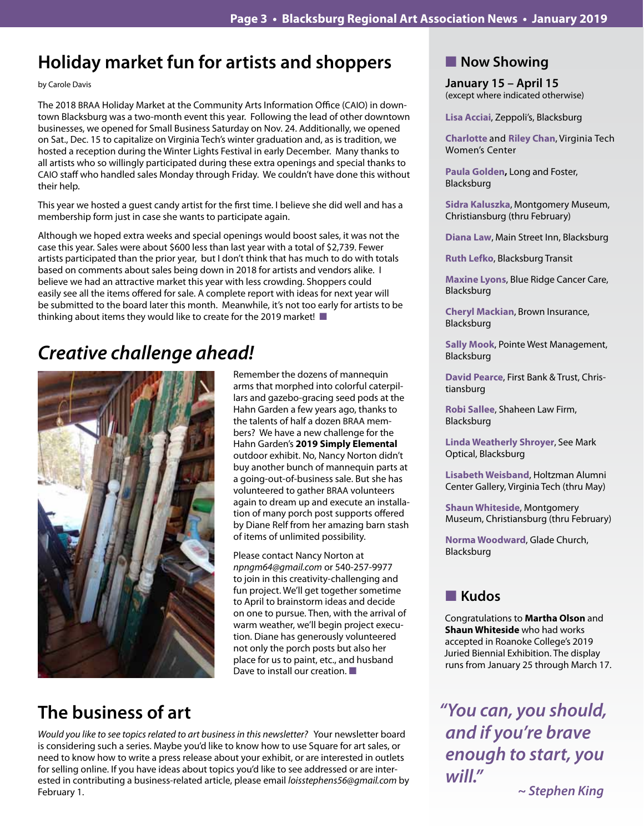# **Holiday market fun for artists and shoppers**

by Carole Davis

The 2018 BRAA Holiday Market at the Community Arts Information Office (CAIO) in downtown Blacksburg was a two-month event this year. Following the lead of other downtown businesses, we opened for Small Business Saturday on Nov. 24. Additionally, we opened on Sat., Dec. 15 to capitalize on Virginia Tech's winter graduation and, as is tradition, we hosted a reception during the Winter Lights Festival in early December. Many thanks to all artists who so willingly participated during these extra openings and special thanks to CAIO staff who handled sales Monday through Friday. We couldn't have done this without their help.

This year we hosted a guest candy artist for the first time. I believe she did well and has a membership form just in case she wants to participate again.

Although we hoped extra weeks and special openings would boost sales, it was not the case this year. Sales were about \$600 less than last year with a total of \$2,739. Fewer artists participated than the prior year, but I don't think that has much to do with totals based on comments about sales being down in 2018 for artists and vendors alike. I believe we had an attractive market this year with less crowding. Shoppers could easily see all the items offered for sale. A complete report with ideas for next year will be submitted to the board later this month. Meanwhile, it's not too early for artists to be thinking about items they would like to create for the 2019 market!

# *Creative challenge ahead!*



Remember the dozens of mannequin arms that morphed into colorful caterpillars and gazebo-gracing seed pods at the Hahn Garden a few years ago, thanks to the talents of half a dozen BRAA members? We have a new challenge for the Hahn Garden's **2019 Simply Elemental** outdoor exhibit. No, Nancy Norton didn't buy another bunch of mannequin parts at a going-out-of-business sale. But she has volunteered to gather BRAA volunteers again to dream up and execute an installation of many porch post supports offered by Diane Relf from her amazing barn stash of items of unlimited possibility.

Please contact Nancy Norton at *npngm64@gmail.com* or 540-257-9977 to join in this creativity-challenging and fun project. We'll get together sometime to April to brainstorm ideas and decide on one to pursue. Then, with the arrival of warm weather, we'll begin project execution. Diane has generously volunteered not only the porch posts but also her place for us to paint, etc., and husband Dave to install our creation.  $\blacksquare$ 

# **The business of art**

*Would you like to see topics related to art business in this newsletter?* Your newsletter board is considering such a series. Maybe you'd like to know how to use Square for art sales, or need to know how to write a press release about your exhibit, or are interested in outlets for selling online. If you have ideas about topics you'd like to see addressed or are interested in contributing a business-related article, please email *loisstephens56@gmail.com* by February 1.

# **Now Showing**

**January 15 – April 15** (except where indicated otherwise)

**Lisa Acciai**, Zeppoli's, Blacksburg

**Charlotte** and **Riley Chan**, Virginia Tech Women's Center

**Paula Golden,** Long and Foster, Blacksburg

**Sidra Kaluszka**, Montgomery Museum, Christiansburg (thru February)

**Diana Law**, Main Street Inn, Blacksburg

**Ruth Lefko**, Blacksburg Transit

**Maxine Lyons**, Blue Ridge Cancer Care, Blacksburg

**Cheryl Mackian**, Brown Insurance, Blacksburg

**Sally Mook**, Pointe West Management, Blacksburg

**David Pearce**, First Bank & Trust, Christiansburg

**Robi Sallee**, Shaheen Law Firm, Blacksburg

**Linda Weatherly Shroyer**, See Mark Optical, Blacksburg

**Lisabeth Weisband**, Holtzman Alumni Center Gallery, Virginia Tech (thru May)

**Shaun Whiteside**, Montgomery Museum, Christiansburg (thru February)

**Norma Woodward**, Glade Church, Blacksburg

# n **Kudos**

Congratulations to **Martha Olson** and **Shaun Whiteside** who had works accepted in Roanoke College's 2019 Juried Biennial Exhibition. The display runs from January 25 through March 17.

*"You can, you should, and if you're brave enough to start, you will."*

**~ Stephen King**